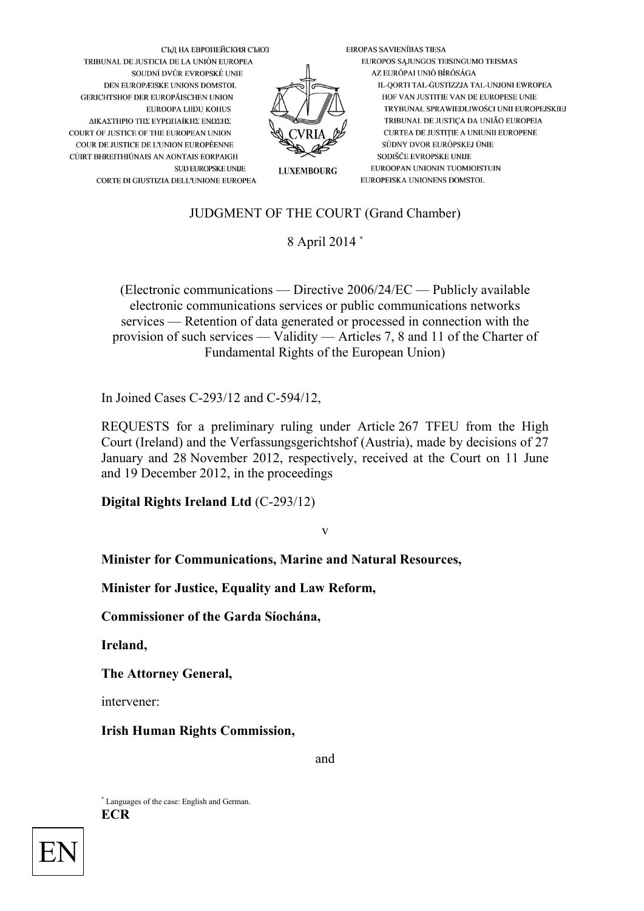

## JUDGMENT OF THE COURT (Grand Chamber)

8 April 2014 \*

(Electronic communications — Directive 2006/24/EC — Publicly available electronic communications services or public communications networks services — Retention of data generated or processed in connection with the provision of such services — Validity — Articles 7, 8 and 11 of the Charter of Fundamental Rights of the European Union)

In Joined Cases C-293/12 and C-594/12,

REQUESTS for a preliminary ruling under Article 267 TFEU from the High Court (Ireland) and the Verfassungsgerichtshof (Austria), made by decisions of 27 January and 28 November 2012, respectively, received at the Court on 11 June and 19 December 2012, in the proceedings

**Digital Rights Ireland Ltd** (C-293/12)

v

**Minister for Communications, Marine and Natural Resources,**

**Minister for Justice, Equality and Law Reform,**

**Commissioner of the Garda Síochána,**

**Ireland,**

**The Attorney General,**

intervener:

**Irish Human Rights Commission,** 

and

\* Languages of the case: English and German.

**ECR**

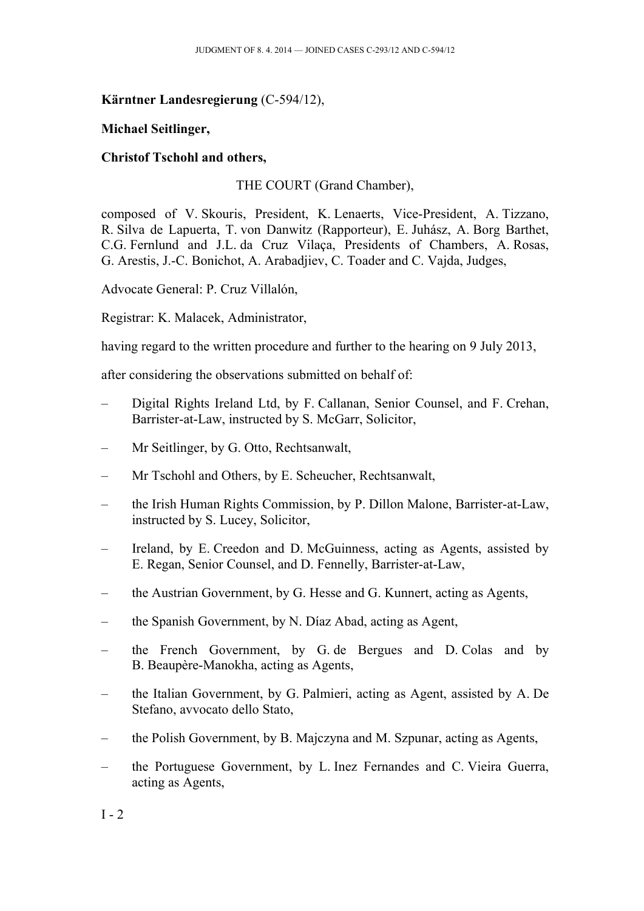## **Kärntner Landesregierung** (C-594/12),

#### **Michael Seitlinger,**

## **Christof Tschohl and others,**

THE COURT (Grand Chamber),

composed of V. Skouris, President, K. Lenaerts, Vice-President, A. Tizzano, R. Silva de Lapuerta, T. von Danwitz (Rapporteur), E. Juhász, A. Borg Barthet, C.G. Fernlund and J.L. da Cruz Vilaça, Presidents of Chambers, A. Rosas, G. Arestis, J.-C. Bonichot, A. Arabadjiev, C. Toader and C. Vajda, Judges,

Advocate General: P. Cruz Villalón,

Registrar: K. Malacek, Administrator,

having regard to the written procedure and further to the hearing on 9 July 2013,

after considering the observations submitted on behalf of:

- Digital Rights Ireland Ltd, by F. Callanan, Senior Counsel, and F. Crehan, Barrister-at-Law, instructed by S. McGarr, Solicitor,
- Mr Seitlinger, by G. Otto, Rechtsanwalt,
- Mr Tschohl and Others, by E. Scheucher, Rechtsanwalt,
- the Irish Human Rights Commission, by P. Dillon Malone, Barrister-at-Law, instructed by S. Lucey, Solicitor,
- Ireland, by E. Creedon and D. McGuinness, acting as Agents, assisted by E. Regan, Senior Counsel, and D. Fennelly, Barrister-at-Law,
- the Austrian Government, by G. Hesse and G. Kunnert, acting as Agents,
- the Spanish Government, by N. Díaz Abad, acting as Agent,
- the French Government, by G. de Bergues and D. Colas and by B. Beaupère-Manokha, acting as Agents,
- the Italian Government, by G. Palmieri, acting as Agent, assisted by A. De Stefano, avvocato dello Stato,
- the Polish Government, by B. Majczyna and M. Szpunar, acting as Agents,
- the Portuguese Government, by L. Inez Fernandes and C. Vieira Guerra, acting as Agents,

 $I - 2$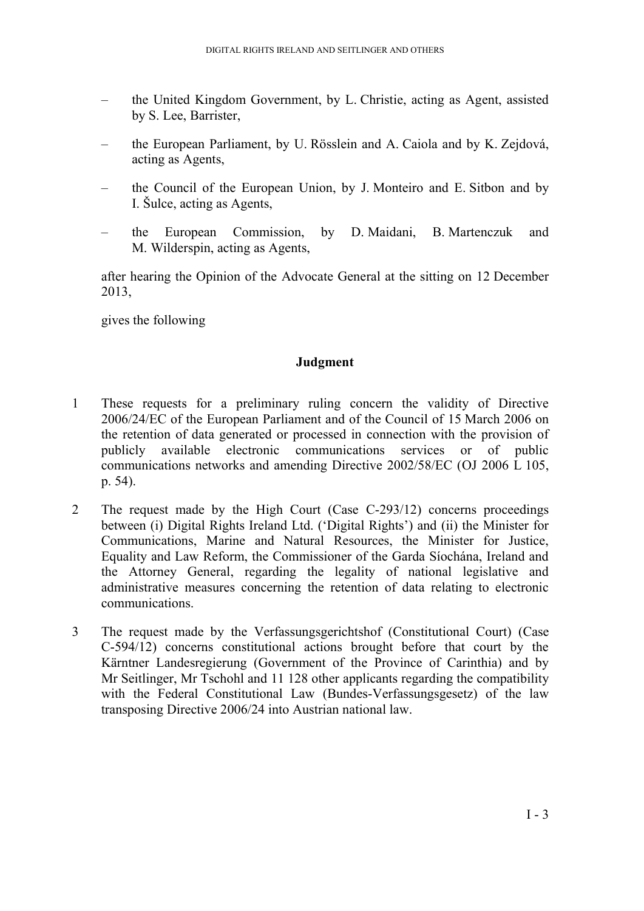- the United Kingdom Government, by L. Christie, acting as Agent, assisted by S. Lee, Barrister,
- the European Parliament, by U. Rösslein and A. Caiola and by K. Zejdová, acting as Agents,
- the Council of the European Union, by J. Monteiro and E. Sitbon and by I. Šulce, acting as Agents,
- the European Commission, by D. Maidani, B. Martenczuk and M. Wilderspin, acting as Agents,

after hearing the Opinion of the Advocate General at the sitting on 12 December 2013,

gives the following

## **Judgment**

- 1 These requests for a preliminary ruling concern the validity of Directive 2006/24/EC of the European Parliament and of the Council of 15 March 2006 on the retention of data generated or processed in connection with the provision of publicly available electronic communications services or of public communications networks and amending Directive 2002/58/EC (OJ 2006 L 105, p. 54).
- 2 The request made by the High Court (Case C-293/12) concerns proceedings between (i) Digital Rights Ireland Ltd. ('Digital Rights') and (ii) the Minister for Communications, Marine and Natural Resources, the Minister for Justice, Equality and Law Reform, the Commissioner of the Garda Síochána, Ireland and the Attorney General, regarding the legality of national legislative and administrative measures concerning the retention of data relating to electronic communications.
- 3 The request made by the Verfassungsgerichtshof (Constitutional Court) (Case C-594/12) concerns constitutional actions brought before that court by the Kärntner Landesregierung (Government of the Province of Carinthia) and by Mr Seitlinger, Mr Tschohl and 11 128 other applicants regarding the compatibility with the Federal Constitutional Law (Bundes-Verfassungsgesetz) of the law transposing Directive 2006/24 into Austrian national law.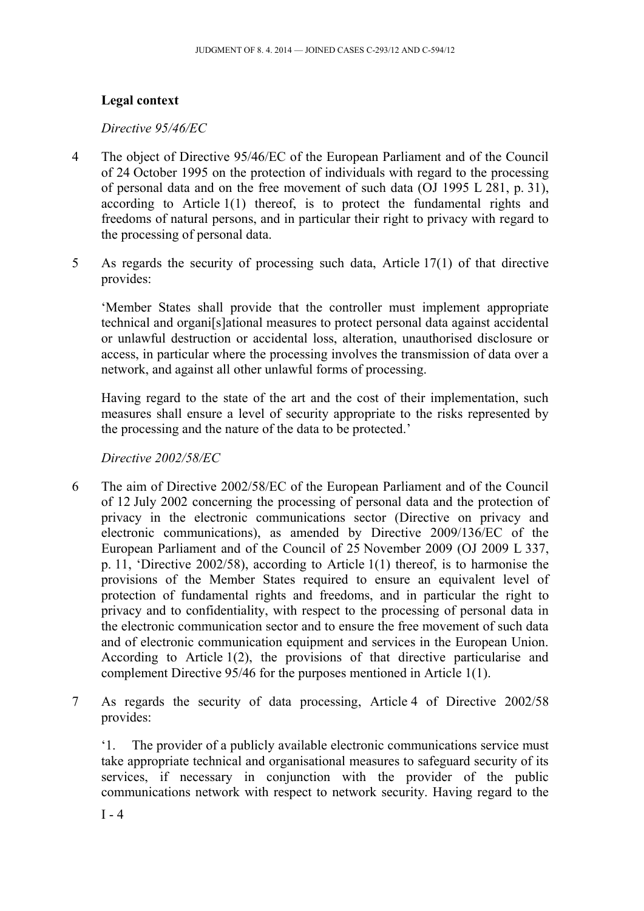## **Legal context**

#### *Directive 95/46/EC*

- 4 The object of Directive 95/46/EC of the European Parliament and of the Council of 24 October 1995 on the protection of individuals with regard to the processing of personal data and on the free movement of such data (OJ 1995 L  $281$ , p. 31), according to Article  $1(1)$  thereof, is to protect the fundamental rights and freedoms of natural persons, and in particular their right to privacy with regard to the processing of personal data.
- 5 As regards the security of processing such data, Article 17(1) of that directive provides:

'Member States shall provide that the controller must implement appropriate technical and organi[s]ational measures to protect personal data against accidental or unlawful destruction or accidental loss, alteration, unauthorised disclosure or access, in particular where the processing involves the transmission of data over a network, and against all other unlawful forms of processing.

Having regard to the state of the art and the cost of their implementation, such measures shall ensure a level of security appropriate to the risks represented by the processing and the nature of the data to be protected.'

*Directive 2002/58/EC*

- 6 The aim of Directive 2002/58/EC of the European Parliament and of the Council of 12 July 2002 concerning the processing of personal data and the protection of privacy in the electronic communications sector (Directive on privacy and electronic communications), as amended by Directive 2009/136/EC of the European Parliament and of the Council of 25 November 2009 (OJ 2009 L 337, p. 11, 'Directive 2002/58), according to Article 1(1) thereof, is to harmonise the provisions of the Member States required to ensure an equivalent level of protection of fundamental rights and freedoms, and in particular the right to privacy and to confidentiality, with respect to the processing of personal data in the electronic communication sector and to ensure the free movement of such data and of electronic communication equipment and services in the European Union. According to Article 1(2), the provisions of that directive particularise and complement Directive 95/46 for the purposes mentioned in Article 1(1).
- 7 As regards the security of data processing, Article 4 of Directive 2002/58 provides:

'1. The provider of a publicly available electronic communications service must take appropriate technical and organisational measures to safeguard security of its services, if necessary in conjunction with the provider of the public communications network with respect to network security. Having regard to the

 $I - 4$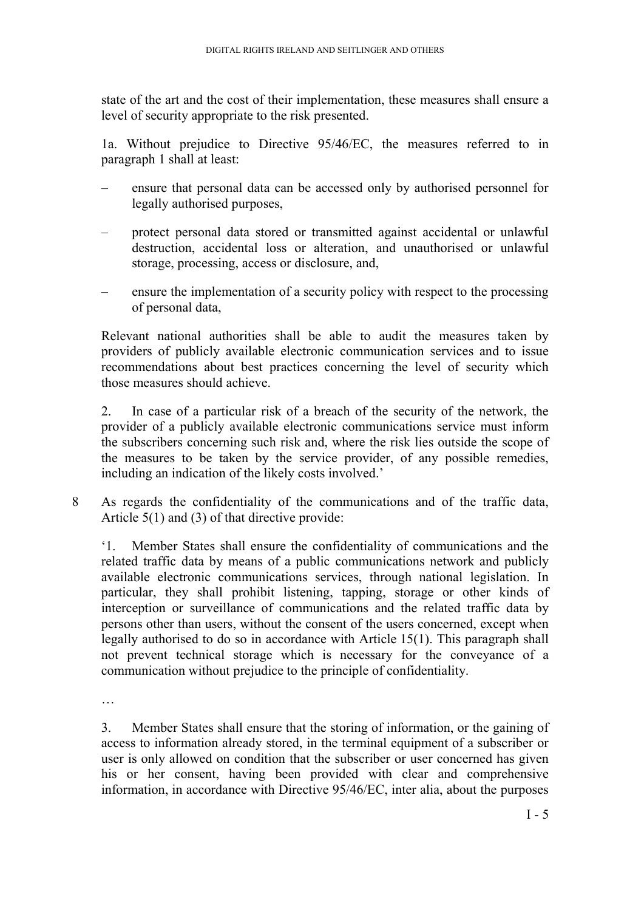state of the art and the cost of their implementation, these measures shall ensure a level of security appropriate to the risk presented.

1a. Without prejudice to Directive 95/46/EC, the measures referred to in paragraph 1 shall at least:

- ensure that personal data can be accessed only by authorised personnel for legally authorised purposes,
- protect personal data stored or transmitted against accidental or unlawful destruction, accidental loss or alteration, and unauthorised or unlawful storage, processing, access or disclosure, and,
- ensure the implementation of a security policy with respect to the processing of personal data,

Relevant national authorities shall be able to audit the measures taken by providers of publicly available electronic communication services and to issue recommendations about best practices concerning the level of security which those measures should achieve.

2. In case of a particular risk of a breach of the security of the network, the provider of a publicly available electronic communications service must inform the subscribers concerning such risk and, where the risk lies outside the scope of the measures to be taken by the service provider, of any possible remedies, including an indication of the likely costs involved.'

8 As regards the confidentiality of the communications and of the traffic data, Article 5(1) and (3) of that directive provide:

'1. Member States shall ensure the confidentiality of communications and the related traffic data by means of a public communications network and publicly available electronic communications services, through national legislation. In particular, they shall prohibit listening, tapping, storage or other kinds of interception or surveillance of communications and the related traffic data by persons other than users, without the consent of the users concerned, except when legally authorised to do so in accordance with Article 15(1). This paragraph shall not prevent technical storage which is necessary for the conveyance of a communication without prejudice to the principle of confidentiality.

…

3. Member States shall ensure that the storing of information, or the gaining of access to information already stored, in the terminal equipment of a subscriber or user is only allowed on condition that the subscriber or user concerned has given his or her consent, having been provided with clear and comprehensive information, in accordance with Directive 95/46/EC, inter alia, about the purposes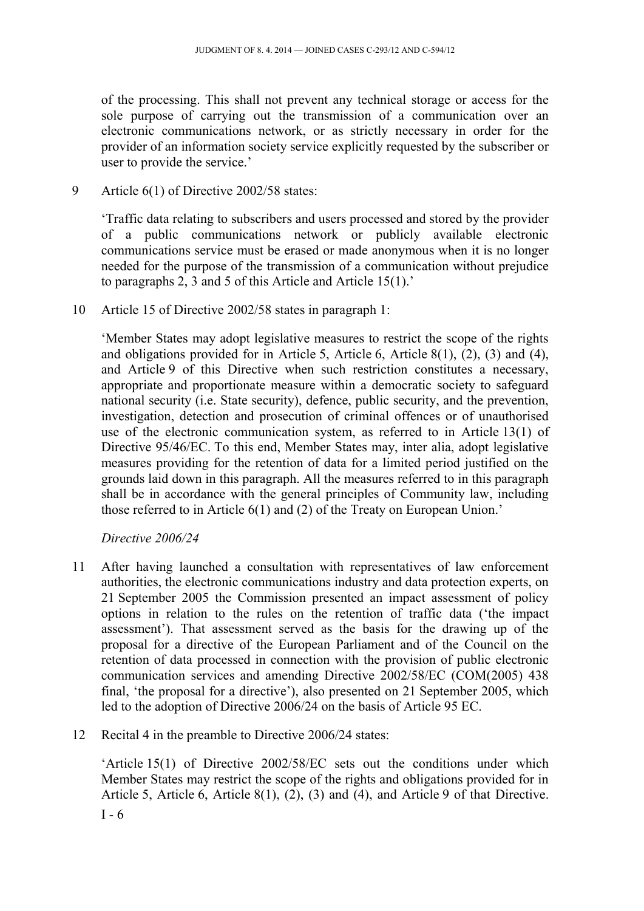of the processing. This shall not prevent any technical storage or access for the sole purpose of carrying out the transmission of a communication over an electronic communications network, or as strictly necessary in order for the provider of an information society service explicitly requested by the subscriber or user to provide the service.'

9 Article 6(1) of Directive 2002/58 states:

'Traffic data relating to subscribers and users processed and stored by the provider of a public communications network or publicly available electronic communications service must be erased or made anonymous when it is no longer needed for the purpose of the transmission of a communication without prejudice to paragraphs 2, 3 and 5 of this Article and Article 15(1).'

10 Article 15 of Directive 2002/58 states in paragraph 1:

'Member States may adopt legislative measures to restrict the scope of the rights and obligations provided for in Article 5, Article 6, Article 8(1), (2), (3) and (4), and Article 9 of this Directive when such restriction constitutes a necessary, appropriate and proportionate measure within a democratic society to safeguard national security (i.e. State security), defence, public security, and the prevention, investigation, detection and prosecution of criminal offences or of unauthorised use of the electronic communication system, as referred to in Article 13(1) of Directive 95/46/EC. To this end, Member States may, inter alia, adopt legislative measures providing for the retention of data for a limited period justified on the grounds laid down in this paragraph. All the measures referred to in this paragraph shall be in accordance with the general principles of Community law, including those referred to in Article 6(1) and (2) of the Treaty on European Union.'

## *Directive 2006/24*

- 11 After having launched a consultation with representatives of law enforcement authorities, the electronic communications industry and data protection experts, on 21 September 2005 the Commission presented an impact assessment of policy options in relation to the rules on the retention of traffic data ('the impact assessment'). That assessment served as the basis for the drawing up of the proposal for a directive of the European Parliament and of the Council on the retention of data processed in connection with the provision of public electronic communication services and amending Directive 2002/58/EC (COM(2005) 438 final, 'the proposal for a directive'), also presented on 21 September 2005, which led to the adoption of Directive 2006/24 on the basis of Article 95 EC.
- 12 Recital 4 in the preamble to Directive 2006/24 states:

 $I - 6$ 'Article 15(1) of Directive 2002/58/EC sets out the conditions under which Member States may restrict the scope of the rights and obligations provided for in Article 5, Article 6, Article 8(1), (2), (3) and (4), and Article 9 of that Directive.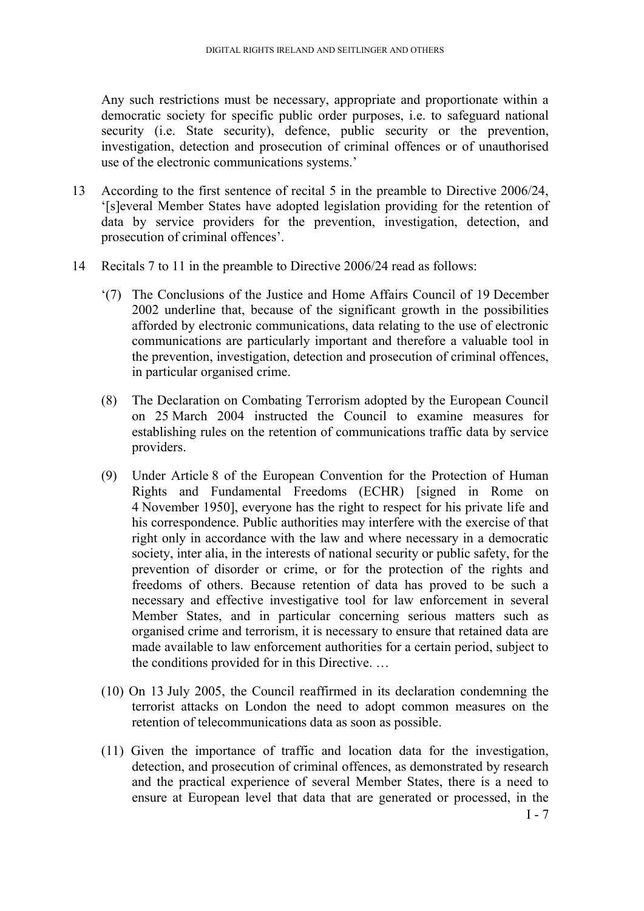Any such restrictions must be necessary, appropriate and proportionate within a democratic society for specific public order purposes, i.e. to safeguard national security (i.e. State security), defence, public security or the prevention, investigation, detection and prosecution of criminal offences or of unauthorised use of the electronic communications systems.'

- 13 According to the first sentence of recital 5 in the preamble to Directive 2006/24, '[s]everal Member States have adopted legislation providing for the retention of data by service providers for the prevention, investigation, detection, and prosecution of criminal offences'.
- 14 Recitals 7 to 11 in the preamble to Directive 2006/24 read as follows:
	- '(7) The Conclusions of the Justice and Home Affairs Council of 19 December 2002 underline that, because of the significant growth in the possibilities afforded by electronic communications, data relating to the use of electronic communications are particularly important and therefore a valuable tool in the prevention, investigation, detection and prosecution of criminal offences, in particular organised crime.
	- (8) The Declaration on Combating Terrorism adopted by the European Council on 25 March 2004 instructed the Council to examine measures for establishing rules on the retention of communications traffic data by service providers.
	- (9) Under Article 8 of the European Convention for the Protection of Human Rights and Fundamental Freedoms (ECHR) [signed in Rome on 4 November 1950], everyone has the right to respect for his private life and his correspondence. Public authorities may interfere with the exercise of that right only in accordance with the law and where necessary in a democratic society, inter alia, in the interests of national security or public safety, for the prevention of disorder or crime, or for the protection of the rights and freedoms of others. Because retention of data has proved to be such a necessary and effective investigative tool for law enforcement in several Member States, and in particular concerning serious matters such as organised crime and terrorism, it is necessary to ensure that retained data are made available to law enforcement authorities for a certain period, subject to the conditions provided for in this Directive. …
	- (10) On 13 July 2005, the Council reaffirmed in its declaration condemning the terrorist attacks on London the need to adopt common measures on the retention of telecommunications data as soon as possible.
	- (11) Given the importance of traffic and location data for the investigation, detection, and prosecution of criminal offences, as demonstrated by research and the practical experience of several Member States, there is a need to ensure at European level that data that are generated or processed, in the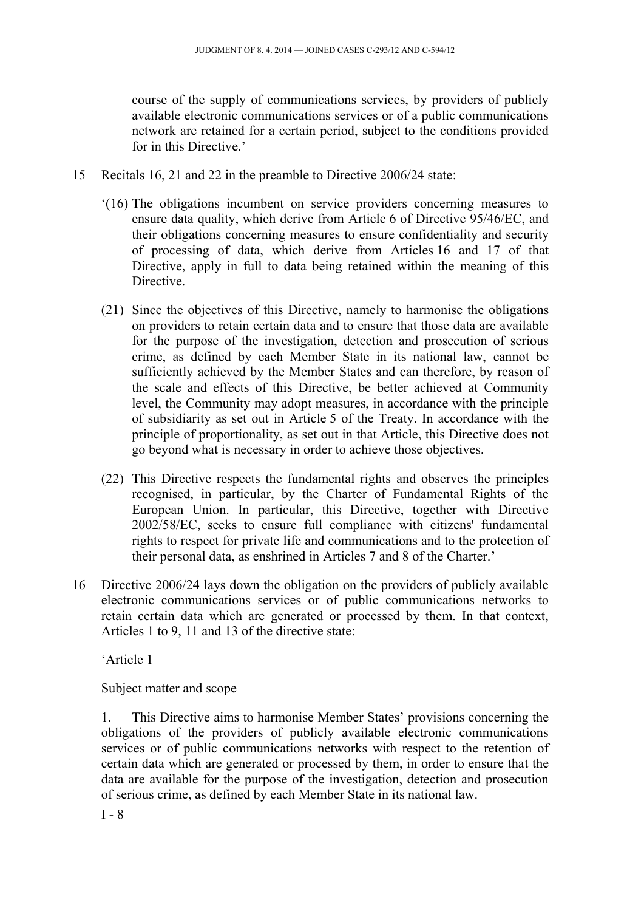course of the supply of communications services, by providers of publicly available electronic communications services or of a public communications network are retained for a certain period, subject to the conditions provided for in this Directive.'

- 15 Recitals 16, 21 and 22 in the preamble to Directive 2006/24 state:
	- '(16) The obligations incumbent on service providers concerning measures to ensure data quality, which derive from Article 6 of Directive 95/46/EC, and their obligations concerning measures to ensure confidentiality and security of processing of data, which derive from Articles 16 and 17 of that Directive, apply in full to data being retained within the meaning of this **Directive**
	- (21) Since the objectives of this Directive, namely to harmonise the obligations on providers to retain certain data and to ensure that those data are available for the purpose of the investigation, detection and prosecution of serious crime, as defined by each Member State in its national law, cannot be sufficiently achieved by the Member States and can therefore, by reason of the scale and effects of this Directive, be better achieved at Community level, the Community may adopt measures, in accordance with the principle of subsidiarity as set out in Article 5 of the Treaty. In accordance with the principle of proportionality, as set out in that Article, this Directive does not go beyond what is necessary in order to achieve those objectives.
	- (22) This Directive respects the fundamental rights and observes the principles recognised, in particular, by the Charter of Fundamental Rights of the European Union. In particular, this Directive, together with Directive 2002/58/EC, seeks to ensure full compliance with citizens' fundamental rights to respect for private life and communications and to the protection of their personal data, as enshrined in Articles 7 and 8 of the Charter.'
- 16 Directive 2006/24 lays down the obligation on the providers of publicly available electronic communications services or of public communications networks to retain certain data which are generated or processed by them. In that context, Articles 1 to 9, 11 and 13 of the directive state:

'Article 1

Subject matter and scope

1. This Directive aims to harmonise Member States' provisions concerning the obligations of the providers of publicly available electronic communications services or of public communications networks with respect to the retention of certain data which are generated or processed by them, in order to ensure that the data are available for the purpose of the investigation, detection and prosecution of serious crime, as defined by each Member State in its national law.

 $I - R$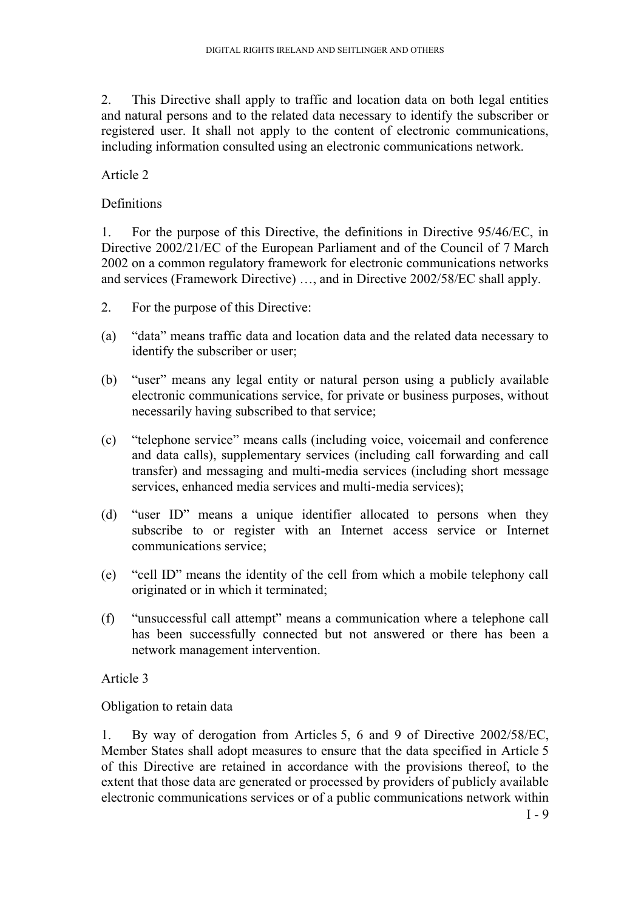2. This Directive shall apply to traffic and location data on both legal entities and natural persons and to the related data necessary to identify the subscriber or registered user. It shall not apply to the content of electronic communications, including information consulted using an electronic communications network.

Article 2

**Definitions** 

1. For the purpose of this Directive, the definitions in Directive 95/46/EC, in Directive 2002/21/EC of the European Parliament and of the Council of 7 March 2002 on a common regulatory framework for electronic communications networks and services (Framework Directive) …, and in Directive 2002/58/EC shall apply.

- 2. For the purpose of this Directive:
- (a) "data" means traffic data and location data and the related data necessary to identify the subscriber or user;
- (b) "user" means any legal entity or natural person using a publicly available electronic communications service, for private or business purposes, without necessarily having subscribed to that service;
- (c) "telephone service" means calls (including voice, voicemail and conference and data calls), supplementary services (including call forwarding and call transfer) and messaging and multi-media services (including short message services, enhanced media services and multi-media services);
- (d) "user ID" means a unique identifier allocated to persons when they subscribe to or register with an Internet access service or Internet communications service;
- (e) "cell ID" means the identity of the cell from which a mobile telephony call originated or in which it terminated;
- (f) "unsuccessful call attempt" means a communication where a telephone call has been successfully connected but not answered or there has been a network management intervention.

Article 3

Obligation to retain data

1. By way of derogation from Articles 5, 6 and 9 of Directive 2002/58/EC, Member States shall adopt measures to ensure that the data specified in Article 5 of this Directive are retained in accordance with the provisions thereof, to the extent that those data are generated or processed by providers of publicly available electronic communications services or of a public communications network within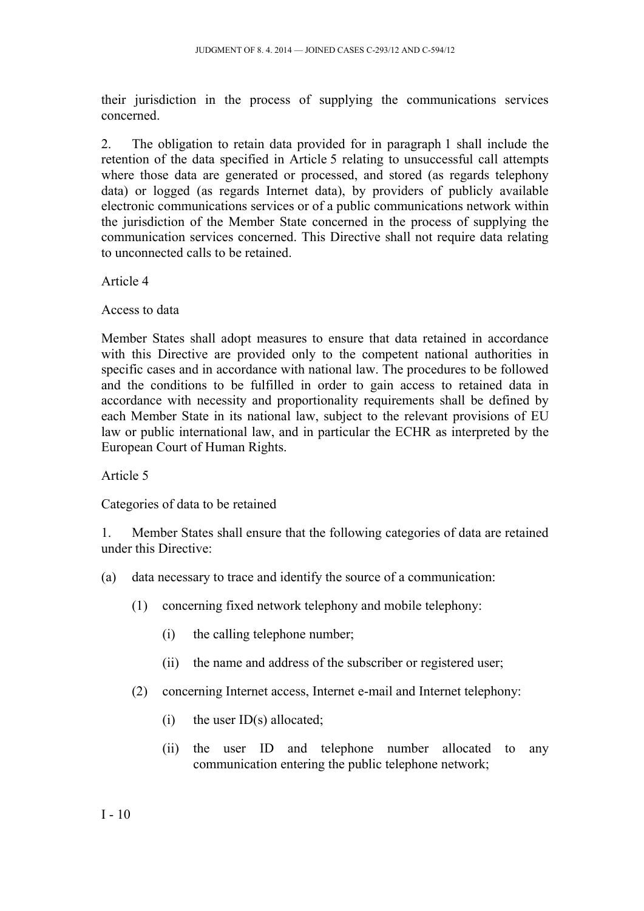their jurisdiction in the process of supplying the communications services concerned.

2. The obligation to retain data provided for in paragraph 1 shall include the retention of the data specified in Article 5 relating to unsuccessful call attempts where those data are generated or processed, and stored (as regards telephony data) or logged (as regards Internet data), by providers of publicly available electronic communications services or of a public communications network within the jurisdiction of the Member State concerned in the process of supplying the communication services concerned. This Directive shall not require data relating to unconnected calls to be retained.

Article 4

Access to data

Member States shall adopt measures to ensure that data retained in accordance with this Directive are provided only to the competent national authorities in specific cases and in accordance with national law. The procedures to be followed and the conditions to be fulfilled in order to gain access to retained data in accordance with necessity and proportionality requirements shall be defined by each Member State in its national law, subject to the relevant provisions of EU law or public international law, and in particular the ECHR as interpreted by the European Court of Human Rights.

Article 5

Categories of data to be retained

1. Member States shall ensure that the following categories of data are retained under this Directive:

(a) data necessary to trace and identify the source of a communication:

- (1) concerning fixed network telephony and mobile telephony:
	- (i) the calling telephone number;
	- (ii) the name and address of the subscriber or registered user;
- (2) concerning Internet access, Internet e-mail and Internet telephony:
	- (i) the user  $ID(s)$  allocated;
	- (ii) the user ID and telephone number allocated to any communication entering the public telephone network;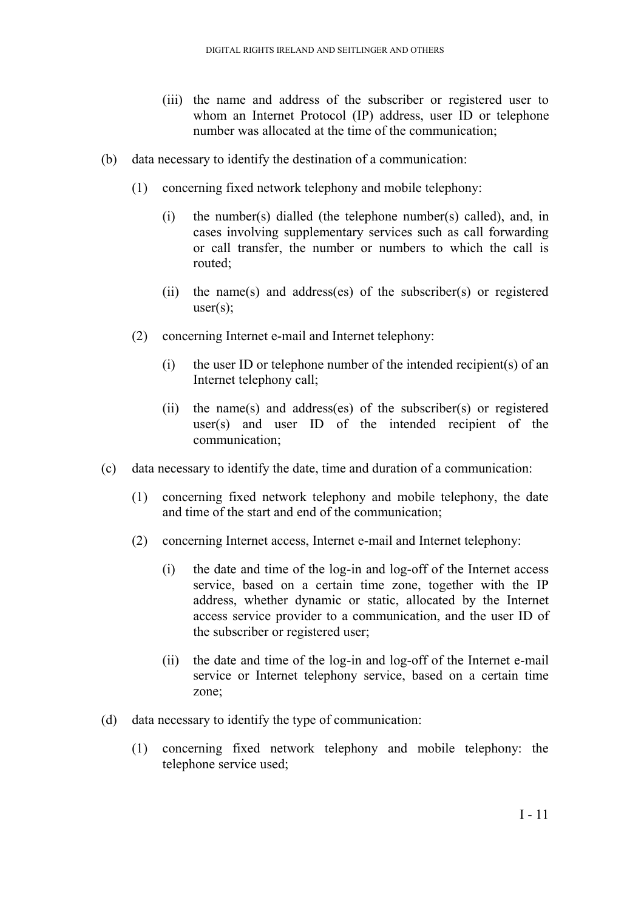- (iii) the name and address of the subscriber or registered user to whom an Internet Protocol (IP) address, user ID or telephone number was allocated at the time of the communication;
- (b) data necessary to identify the destination of a communication:
	- (1) concerning fixed network telephony and mobile telephony:
		- (i) the number(s) dialled (the telephone number(s) called), and, in cases involving supplementary services such as call forwarding or call transfer, the number or numbers to which the call is routed;
		- (ii) the name(s) and address(es) of the subscriber(s) or registered  $user(s)$ :
	- (2) concerning Internet e-mail and Internet telephony:
		- (i) the user ID or telephone number of the intended recipient(s) of an Internet telephony call;
		- (ii) the name(s) and address(es) of the subscriber(s) or registered user(s) and user ID of the intended recipient of the communication;
- (c) data necessary to identify the date, time and duration of a communication:
	- (1) concerning fixed network telephony and mobile telephony, the date and time of the start and end of the communication;
	- (2) concerning Internet access, Internet e-mail and Internet telephony:
		- (i) the date and time of the log-in and log-off of the Internet access service, based on a certain time zone, together with the IP address, whether dynamic or static, allocated by the Internet access service provider to a communication, and the user ID of the subscriber or registered user;
		- (ii) the date and time of the log-in and log-off of the Internet e-mail service or Internet telephony service, based on a certain time zone;
- (d) data necessary to identify the type of communication:
	- (1) concerning fixed network telephony and mobile telephony: the telephone service used;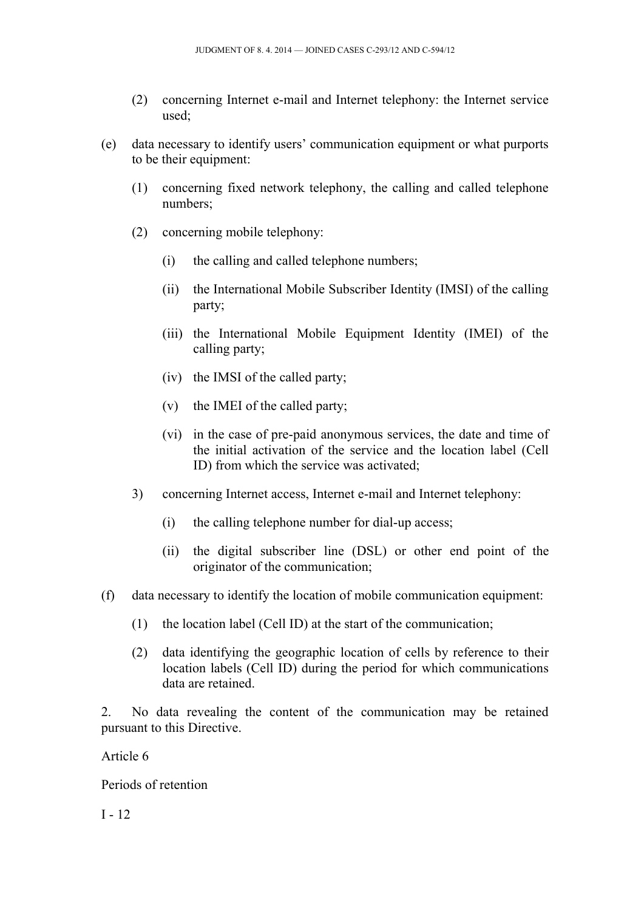- (2) concerning Internet e-mail and Internet telephony: the Internet service used;
- (e) data necessary to identify users' communication equipment or what purports to be their equipment:
	- (1) concerning fixed network telephony, the calling and called telephone numbers;
	- (2) concerning mobile telephony:
		- (i) the calling and called telephone numbers;
		- (ii) the International Mobile Subscriber Identity (IMSI) of the calling party;
		- (iii) the International Mobile Equipment Identity (IMEI) of the calling party;
		- (iv) the IMSI of the called party;
		- (v) the IMEI of the called party;
		- (vi) in the case of pre-paid anonymous services, the date and time of the initial activation of the service and the location label (Cell ID) from which the service was activated.
	- 3) concerning Internet access, Internet e-mail and Internet telephony:
		- (i) the calling telephone number for dial-up access;
		- (ii) the digital subscriber line (DSL) or other end point of the originator of the communication;
- (f) data necessary to identify the location of mobile communication equipment:
	- (1) the location label (Cell ID) at the start of the communication;
	- (2) data identifying the geographic location of cells by reference to their location labels (Cell ID) during the period for which communications data are retained.

2. No data revealing the content of the communication may be retained pursuant to this Directive.

Article 6

Periods of retention

 $I - 12$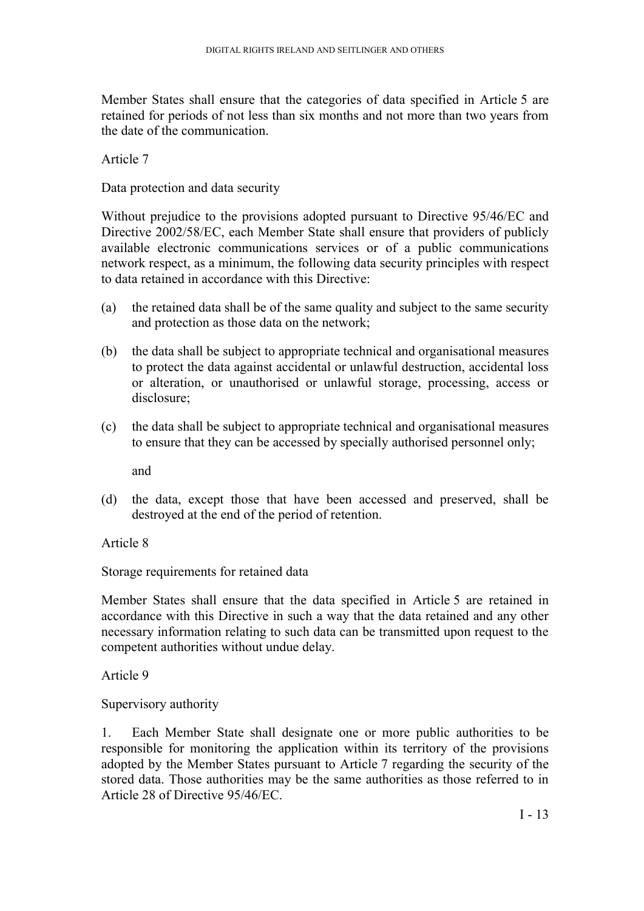Member States shall ensure that the categories of data specified in Article 5 are retained for periods of not less than six months and not more than two years from the date of the communication.

Article 7

Data protection and data security

Without prejudice to the provisions adopted pursuant to Directive 95/46/EC and Directive 2002/58/EC, each Member State shall ensure that providers of publicly available electronic communications services or of a public communications network respect, as a minimum, the following data security principles with respect to data retained in accordance with this Directive:

- (a) the retained data shall be of the same quality and subject to the same security and protection as those data on the network;
- (b) the data shall be subject to appropriate technical and organisational measures to protect the data against accidental or unlawful destruction, accidental loss or alteration, or unauthorised or unlawful storage, processing, access or disclosure;
- (c) the data shall be subject to appropriate technical and organisational measures to ensure that they can be accessed by specially authorised personnel only;

and

(d) the data, except those that have been accessed and preserved, shall be destroyed at the end of the period of retention.

Article 8

Storage requirements for retained data

Member States shall ensure that the data specified in Article 5 are retained in accordance with this Directive in such a way that the data retained and any other necessary information relating to such data can be transmitted upon request to the competent authorities without undue delay.

Article 9

Supervisory authority

1. Each Member State shall designate one or more public authorities to be responsible for monitoring the application within its territory of the provisions adopted by the Member States pursuant to Article 7 regarding the security of the stored data. Those authorities may be the same authorities as those referred to in Article 28 of Directive 95/46/EC.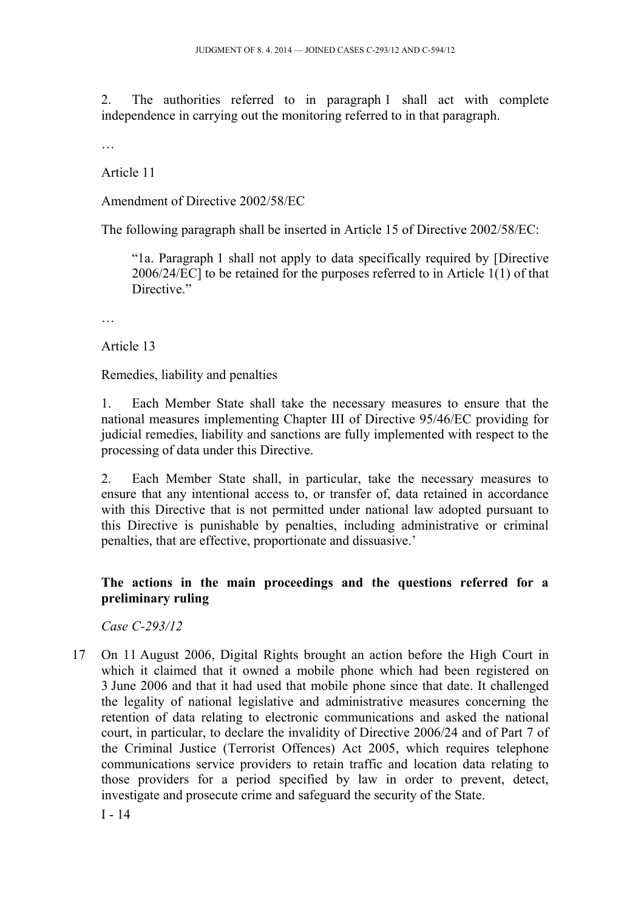2. The authorities referred to in paragraph 1 shall act with complete independence in carrying out the monitoring referred to in that paragraph.

…

Article 11

Amendment of Directive 2002/58/EC

The following paragraph shall be inserted in Article 15 of Directive 2002/58/EC:

"1a. Paragraph 1 shall not apply to data specifically required by [Directive 2006/24/EC] to be retained for the purposes referred to in Article 1(1) of that Directive."

…

Article 13

Remedies, liability and penalties

1. Each Member State shall take the necessary measures to ensure that the national measures implementing Chapter III of Directive 95/46/EC providing for judicial remedies, liability and sanctions are fully implemented with respect to the processing of data under this Directive.

2. Each Member State shall, in particular, take the necessary measures to ensure that any intentional access to, or transfer of, data retained in accordance with this Directive that is not permitted under national law adopted pursuant to this Directive is punishable by penalties, including administrative or criminal penalties, that are effective, proportionate and dissuasive.'

## **The actions in the main proceedings and the questions referred for a preliminary ruling**

*Case C-293/12*

17 On 11 August 2006, Digital Rights brought an action before the High Court in which it claimed that it owned a mobile phone which had been registered on 3 June 2006 and that it had used that mobile phone since that date. It challenged the legality of national legislative and administrative measures concerning the retention of data relating to electronic communications and asked the national court, in particular, to declare the invalidity of Directive 2006/24 and of Part 7 of the Criminal Justice (Terrorist Offences) Act 2005, which requires telephone communications service providers to retain traffic and location data relating to those providers for a period specified by law in order to prevent, detect, investigate and prosecute crime and safeguard the security of the State.

 $I - 14$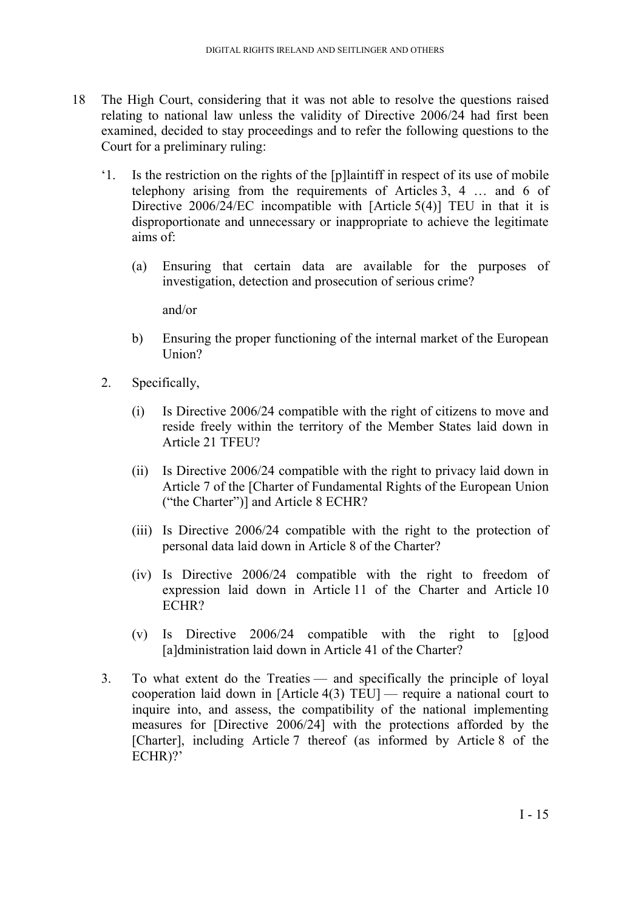- 18 The High Court, considering that it was not able to resolve the questions raised relating to national law unless the validity of Directive 2006/24 had first been examined, decided to stay proceedings and to refer the following questions to the Court for a preliminary ruling:
	- '1. Is the restriction on the rights of the [p]laintiff in respect of its use of mobile telephony arising from the requirements of Articles 3, 4 … and 6 of Directive 2006/24/EC incompatible with [Article 5(4)] TEU in that it is disproportionate and unnecessary or inappropriate to achieve the legitimate aims of:
		- (a) Ensuring that certain data are available for the purposes of investigation, detection and prosecution of serious crime?

and/or

- b) Ensuring the proper functioning of the internal market of the European Union?
- 2. Specifically,
	- (i) Is Directive 2006/24 compatible with the right of citizens to move and reside freely within the territory of the Member States laid down in Article 21 TFEU?
	- (ii) Is Directive 2006/24 compatible with the right to privacy laid down in Article 7 of the [Charter of Fundamental Rights of the European Union ("the Charter")] and Article 8 ECHR?
	- (iii) Is Directive 2006/24 compatible with the right to the protection of personal data laid down in Article 8 of the Charter?
	- (iv) Is Directive 2006/24 compatible with the right to freedom of expression laid down in Article 11 of the Charter and Article 10 ECHR?
	- (v) Is Directive 2006/24 compatible with the right to [g]ood [a]dministration laid down in Article 41 of the Charter?
- 3. To what extent do the Treaties and specifically the principle of loyal cooperation laid down in [Article 4(3) TEU] — require a national court to inquire into, and assess, the compatibility of the national implementing measures for [Directive 2006/24] with the protections afforded by the [Charter], including Article 7 thereof (as informed by Article 8 of the ECHR)?'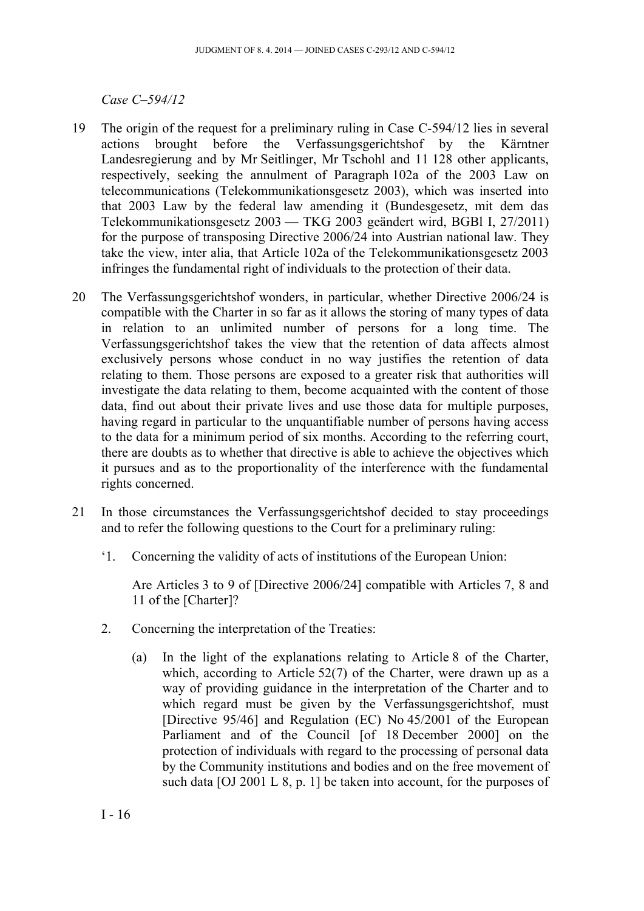## *Case C–594/12*

- 19 The origin of the request for a preliminary ruling in Case C-594/12 lies in several actions brought before the Verfassungsgerichtshof by the Kärntner Landesregierung and by Mr Seitlinger, Mr Tschohl and 11 128 other applicants, respectively, seeking the annulment of Paragraph 102a of the 2003 Law on telecommunications (Telekommunikationsgesetz 2003), which was inserted into that 2003 Law by the federal law amending it (Bundesgesetz, mit dem das Telekommunikationsgesetz 2003 — TKG 2003 geändert wird, BGBl I, 27/2011) for the purpose of transposing Directive 2006/24 into Austrian national law. They take the view, inter alia, that Article 102a of the Telekommunikationsgesetz 2003 infringes the fundamental right of individuals to the protection of their data.
- 20 The Verfassungsgerichtshof wonders, in particular, whether Directive 2006/24 is compatible with the Charter in so far as it allows the storing of many types of data in relation to an unlimited number of persons for a long time. The Verfassungsgerichtshof takes the view that the retention of data affects almost exclusively persons whose conduct in no way justifies the retention of data relating to them. Those persons are exposed to a greater risk that authorities will investigate the data relating to them, become acquainted with the content of those data, find out about their private lives and use those data for multiple purposes, having regard in particular to the unquantifiable number of persons having access to the data for a minimum period of six months. According to the referring court, there are doubts as to whether that directive is able to achieve the objectives which it pursues and as to the proportionality of the interference with the fundamental rights concerned.
- 21 In those circumstances the Verfassungsgerichtshof decided to stay proceedings and to refer the following questions to the Court for a preliminary ruling:
	- '1. Concerning the validity of acts of institutions of the European Union:

Are Articles 3 to 9 of [Directive 2006/24] compatible with Articles 7, 8 and 11 of the [Charter]?

- 2. Concerning the interpretation of the Treaties:
	- (a) In the light of the explanations relating to Article 8 of the Charter, which, according to Article 52(7) of the Charter, were drawn up as a way of providing guidance in the interpretation of the Charter and to which regard must be given by the Verfassungsgerichtshof, must [Directive 95/46] and Regulation (EC) No 45/2001 of the European Parliament and of the Council [of 18 December 2000] on the protection of individuals with regard to the processing of personal data by the Community institutions and bodies and on the free movement of such data [OJ 2001 L 8, p. 1] be taken into account, for the purposes of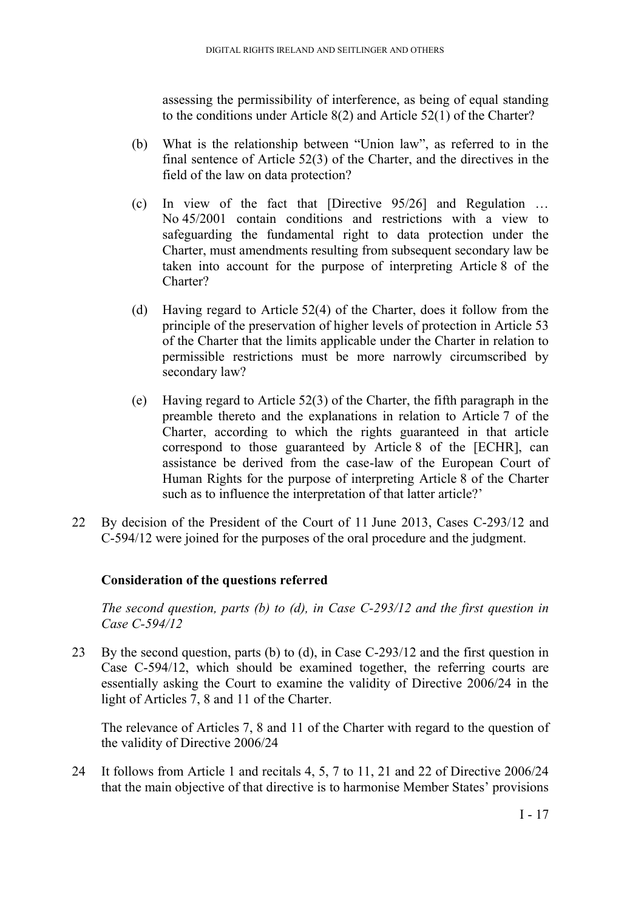assessing the permissibility of interference, as being of equal standing to the conditions under Article 8(2) and Article 52(1) of the Charter?

- (b) What is the relationship between "Union law", as referred to in the final sentence of Article 52(3) of the Charter, and the directives in the field of the law on data protection?
- (c) In view of the fact that [Directive 95/26] and Regulation … No 45/2001 contain conditions and restrictions with a view to safeguarding the fundamental right to data protection under the Charter, must amendments resulting from subsequent secondary law be taken into account for the purpose of interpreting Article 8 of the Charter?
- (d) Having regard to Article 52(4) of the Charter, does it follow from the principle of the preservation of higher levels of protection in Article 53 of the Charter that the limits applicable under the Charter in relation to permissible restrictions must be more narrowly circumscribed by secondary law?
- (e) Having regard to Article 52(3) of the Charter, the fifth paragraph in the preamble thereto and the explanations in relation to Article 7 of the Charter, according to which the rights guaranteed in that article correspond to those guaranteed by Article 8 of the [ECHR], can assistance be derived from the case-law of the European Court of Human Rights for the purpose of interpreting Article 8 of the Charter such as to influence the interpretation of that latter article?'
- 22 By decision of the President of the Court of 11 June 2013, Cases C-293/12 and C-594/12 were joined for the purposes of the oral procedure and the judgment.

# **Consideration of the questions referred**

*The second question, parts (b) to (d), in Case C-293/12 and the first question in Case C-594/12*

23 By the second question, parts (b) to (d), in Case C-293/12 and the first question in Case C-594/12, which should be examined together, the referring courts are essentially asking the Court to examine the validity of Directive 2006/24 in the light of Articles 7, 8 and 11 of the Charter.

The relevance of Articles 7, 8 and 11 of the Charter with regard to the question of the validity of Directive 2006/24

24 It follows from Article 1 and recitals 4, 5, 7 to 11, 21 and 22 of Directive 2006/24 that the main objective of that directive is to harmonise Member States' provisions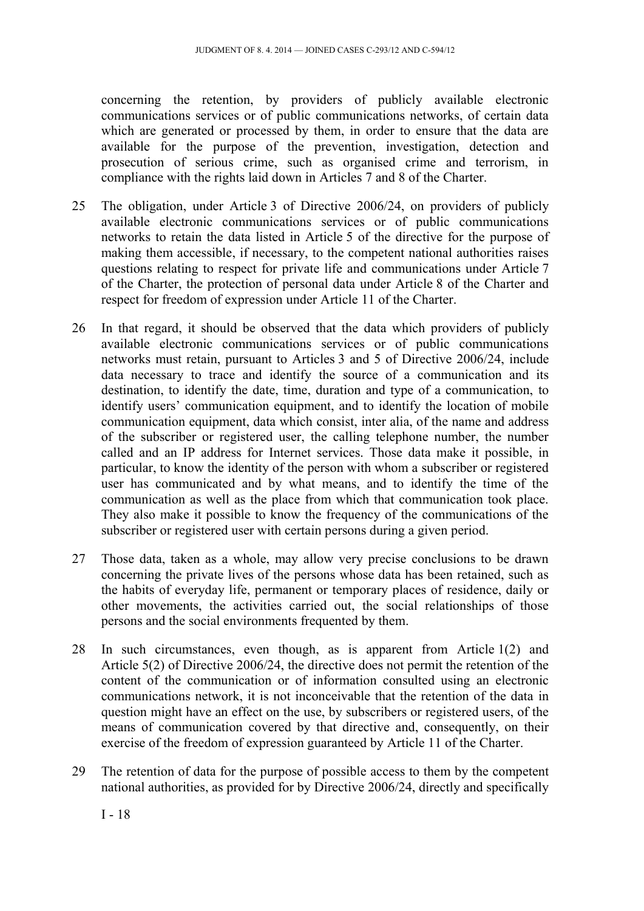concerning the retention, by providers of publicly available electronic communications services or of public communications networks, of certain data which are generated or processed by them, in order to ensure that the data are available for the purpose of the prevention, investigation, detection and prosecution of serious crime, such as organised crime and terrorism, in compliance with the rights laid down in Articles 7 and 8 of the Charter.

- 25 The obligation, under Article 3 of Directive 2006/24, on providers of publicly available electronic communications services or of public communications networks to retain the data listed in Article 5 of the directive for the purpose of making them accessible, if necessary, to the competent national authorities raises questions relating to respect for private life and communications under Article 7 of the Charter, the protection of personal data under Article 8 of the Charter and respect for freedom of expression under Article 11 of the Charter.
- 26 In that regard, it should be observed that the data which providers of publicly available electronic communications services or of public communications networks must retain, pursuant to Articles 3 and 5 of Directive 2006/24, include data necessary to trace and identify the source of a communication and its destination, to identify the date, time, duration and type of a communication, to identify users' communication equipment, and to identify the location of mobile communication equipment, data which consist, inter alia, of the name and address of the subscriber or registered user, the calling telephone number, the number called and an IP address for Internet services. Those data make it possible, in particular, to know the identity of the person with whom a subscriber or registered user has communicated and by what means, and to identify the time of the communication as well as the place from which that communication took place. They also make it possible to know the frequency of the communications of the subscriber or registered user with certain persons during a given period.
- 27 Those data, taken as a whole, may allow very precise conclusions to be drawn concerning the private lives of the persons whose data has been retained, such as the habits of everyday life, permanent or temporary places of residence, daily or other movements, the activities carried out, the social relationships of those persons and the social environments frequented by them.
- 28 In such circumstances, even though, as is apparent from Article 1(2) and Article 5(2) of Directive 2006/24, the directive does not permit the retention of the content of the communication or of information consulted using an electronic communications network, it is not inconceivable that the retention of the data in question might have an effect on the use, by subscribers or registered users, of the means of communication covered by that directive and, consequently, on their exercise of the freedom of expression guaranteed by Article 11 of the Charter.
- 29 The retention of data for the purpose of possible access to them by the competent national authorities, as provided for by Directive 2006/24, directly and specifically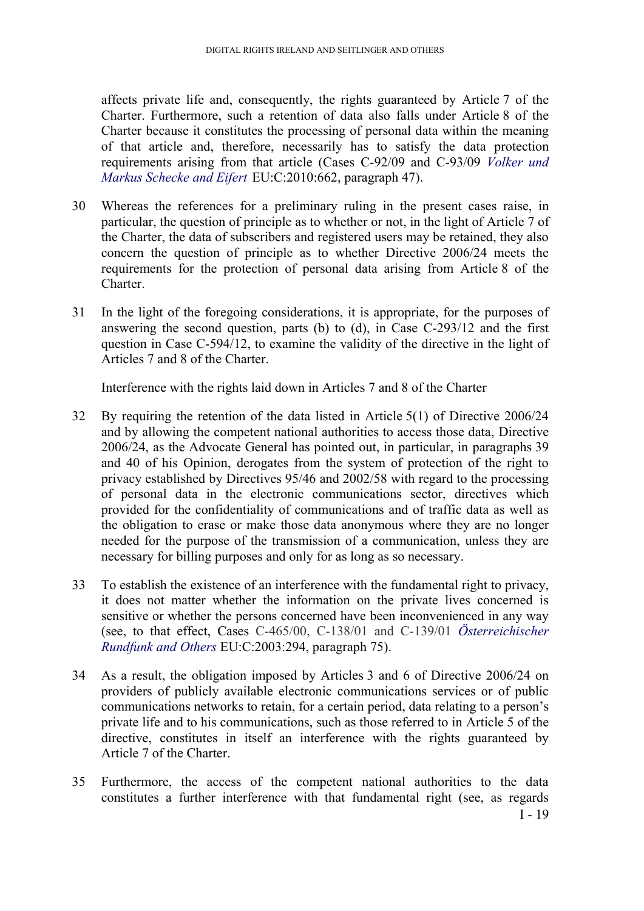affects private life and, consequently, the rights guaranteed by Article 7 of the Charter. Furthermore, such a retention of data also falls under Article 8 of the Charter because it constitutes the processing of personal data within the meaning of that article and, therefore, necessarily has to satisfy the data protection requirements arising from that article (Cases C-92/09 and C-93/09 *[Volker und](http://eur-lex.europa.eu/LexUriServ/LexUriServ.do?uri=CELEX:62009CJ0092:FR:NOT#texte)  [Markus Schecke and](http://eur-lex.europa.eu/LexUriServ/LexUriServ.do?uri=CELEX:62009CJ0092:FR:NOT#texte) Eifert* EU:C:2010:662, paragraph 47).

- 30 Whereas the references for a preliminary ruling in the present cases raise, in particular, the question of principle as to whether or not, in the light of Article 7 of the Charter, the data of subscribers and registered users may be retained, they also concern the question of principle as to whether Directive 2006/24 meets the requirements for the protection of personal data arising from Article 8 of the Charter.
- 31 In the light of the foregoing considerations, it is appropriate, for the purposes of answering the second question, parts (b) to (d), in Case C-293/12 and the first question in Case C-594/12, to examine the validity of the directive in the light of Articles 7 and 8 of the Charter.

Interference with the rights laid down in Articles 7 and 8 of the Charter

- 32 By requiring the retention of the data listed in Article 5(1) of Directive 2006/24 and by allowing the competent national authorities to access those data, Directive 2006/24, as the Advocate General has pointed out, in particular, in paragraphs 39 and 40 of his Opinion, derogates from the system of protection of the right to privacy established by Directives 95/46 and 2002/58 with regard to the processing of personal data in the electronic communications sector, directives which provided for the confidentiality of communications and of traffic data as well as the obligation to erase or make those data anonymous where they are no longer needed for the purpose of the transmission of a communication, unless they are necessary for billing purposes and only for as long as so necessary.
- 33 To establish the existence of an interference with the fundamental right to privacy, it does not matter whether the information on the private lives concerned is sensitive or whether the persons concerned have been inconvenienced in any way (see, to that effect, Cases C-465/00, C-138/01 and C-139/01 *[Österreichischer](http://eur-lex.europa.eu/LexUriServ/LexUriServ.do?uri=CELEX:62000CJ0465:FR:NOT#texte)  [Rundfunk and Others](http://eur-lex.europa.eu/LexUriServ/LexUriServ.do?uri=CELEX:62000CJ0465:FR:NOT#texte)* EU:C:2003:294, paragraph 75).
- 34 As a result, the obligation imposed by Articles 3 and 6 of Directive 2006/24 on providers of publicly available electronic communications services or of public communications networks to retain, for a certain period, data relating to a person's private life and to his communications, such as those referred to in Article 5 of the directive, constitutes in itself an interference with the rights guaranteed by Article 7 of the Charter.
- $I 19$ 35 Furthermore, the access of the competent national authorities to the data constitutes a further interference with that fundamental right (see, as regards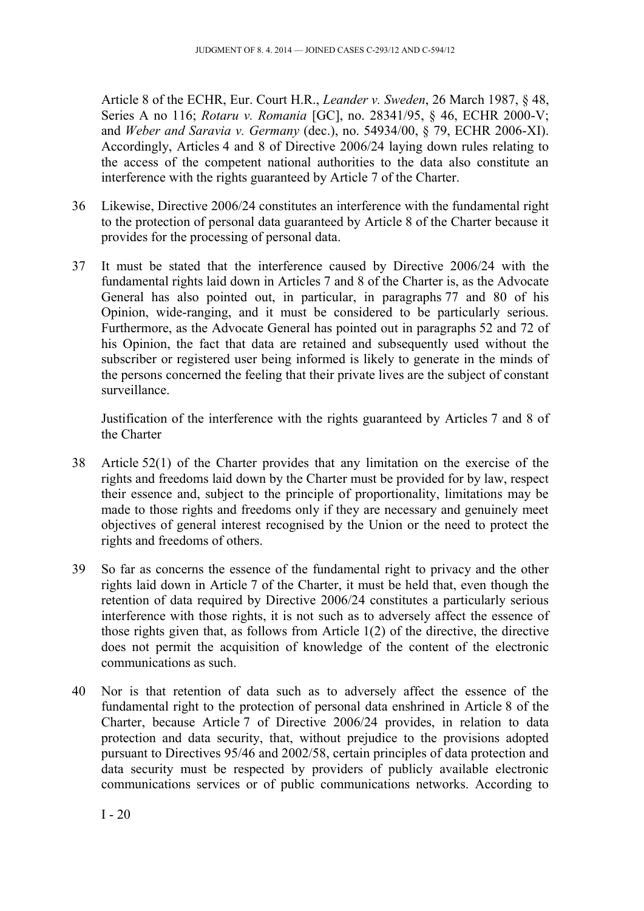Article 8 of the ECHR, Eur. Court H.R., *Leander v. Sweden*, 26 March 1987, § 48, Series A no 116; *Rotaru v. Romania* [GC], no. 28341/95, § 46, ECHR 2000-V; and *Weber and Saravia v. Germany* (dec.), no. 54934/00, § 79, ECHR 2006-XI). Accordingly, Articles 4 and 8 of Directive 2006/24 laying down rules relating to the access of the competent national authorities to the data also constitute an interference with the rights guaranteed by Article 7 of the Charter.

- 36 Likewise, Directive 2006/24 constitutes an interference with the fundamental right to the protection of personal data guaranteed by Article 8 of the Charter because it provides for the processing of personal data.
- 37 It must be stated that the interference caused by Directive 2006/24 with the fundamental rights laid down in Articles 7 and 8 of the Charter is, as the Advocate General has also pointed out, in particular, in paragraphs 77 and 80 of his Opinion, wide-ranging, and it must be considered to be particularly serious. Furthermore, as the Advocate General has pointed out in paragraphs 52 and 72 of his Opinion, the fact that data are retained and subsequently used without the subscriber or registered user being informed is likely to generate in the minds of the persons concerned the feeling that their private lives are the subject of constant surveillance.

Justification of the interference with the rights guaranteed by Articles 7 and 8 of the Charter

- 38 Article 52(1) of the Charter provides that any limitation on the exercise of the rights and freedoms laid down by the Charter must be provided for by law, respect their essence and, subject to the principle of proportionality, limitations may be made to those rights and freedoms only if they are necessary and genuinely meet objectives of general interest recognised by the Union or the need to protect the rights and freedoms of others.
- 39 So far as concerns the essence of the fundamental right to privacy and the other rights laid down in Article 7 of the Charter, it must be held that, even though the retention of data required by Directive 2006/24 constitutes a particularly serious interference with those rights, it is not such as to adversely affect the essence of those rights given that, as follows from Article 1(2) of the directive, the directive does not permit the acquisition of knowledge of the content of the electronic communications as such.
- 40 Nor is that retention of data such as to adversely affect the essence of the fundamental right to the protection of personal data enshrined in Article 8 of the Charter, because Article 7 of Directive 2006/24 provides, in relation to data protection and data security, that, without prejudice to the provisions adopted pursuant to Directives 95/46 and 2002/58, certain principles of data protection and data security must be respected by providers of publicly available electronic communications services or of public communications networks. According to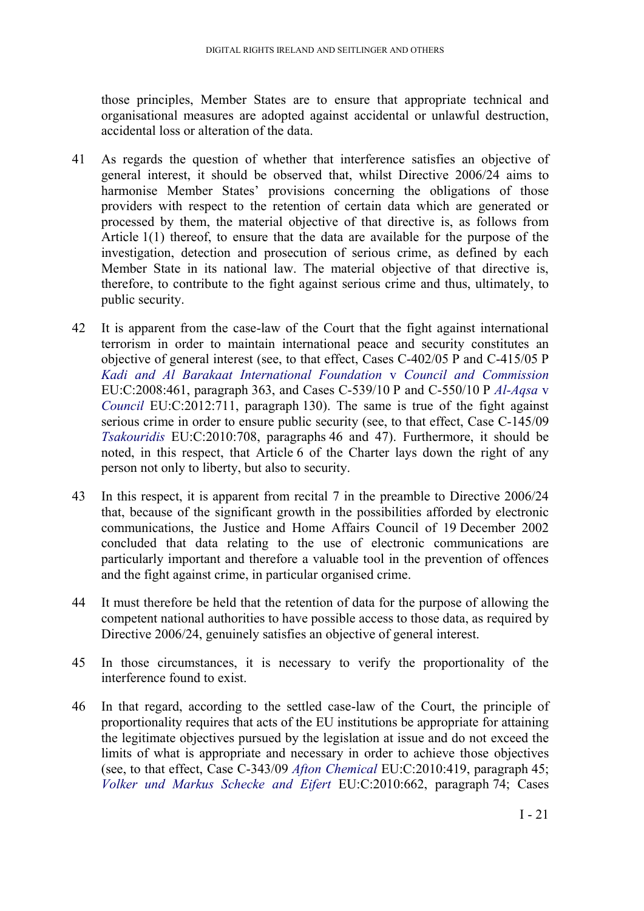those principles, Member States are to ensure that appropriate technical and organisational measures are adopted against accidental or unlawful destruction, accidental loss or alteration of the data.

- 41 As regards the question of whether that interference satisfies an objective of general interest, it should be observed that, whilst Directive 2006/24 aims to harmonise Member States' provisions concerning the obligations of those providers with respect to the retention of certain data which are generated or processed by them, the material objective of that directive is, as follows from Article 1(1) thereof, to ensure that the data are available for the purpose of the investigation, detection and prosecution of serious crime, as defined by each Member State in its national law. The material objective of that directive is, therefore, to contribute to the fight against serious crime and thus, ultimately, to public security.
- 42 It is apparent from the case-law of the Court that the fight against international terrorism in order to maintain international peace and security constitutes an objective of general interest (see, to that effect, Cases C-402/05 P and C-415/05 P *Kadi and Al Barakaat International Foundation* v *Council and Commission* EU:C:2008:461, paragraph 363, and Cases C-539/10 P and C-550/10 P *Al-Aqsa* v *Council* EU:C:2012:711, paragraph 130). The same is true of the fight against serious crime in order to ensure public security (see, to that effect, Case C-145/09 *Tsakouridis* EU:C:2010:708, paragraphs 46 and 47). Furthermore, it should be noted, in this respect, that Article 6 of the Charter lays down the right of any person not only to liberty, but also to security.
- 43 In this respect, it is apparent from recital 7 in the preamble to Directive 2006/24 that, because of the significant growth in the possibilities afforded by electronic communications, the Justice and Home Affairs Council of 19 December 2002 concluded that data relating to the use of electronic communications are particularly important and therefore a valuable tool in the prevention of offences and the fight against crime, in particular organised crime.
- 44 It must therefore be held that the retention of data for the purpose of allowing the competent national authorities to have possible access to those data, as required by Directive 2006/24, genuinely satisfies an objective of general interest.
- 45 In those circumstances, it is necessary to verify the proportionality of the interference found to exist.
- 46 In that regard, according to the settled case-law of the Court, the principle of proportionality requires that acts of the EU institutions be appropriate for attaining the legitimate objectives pursued by the legislation at issue and do not exceed the limits of what is appropriate and necessary in order to achieve those objectives (see, to that effect, Case C-343/09 *Afton Chemical* EU:C:2010:419, paragraph 45; *Volker und Markus Schecke and Eifert* EU:C:2010:662, paragraph 74; Cases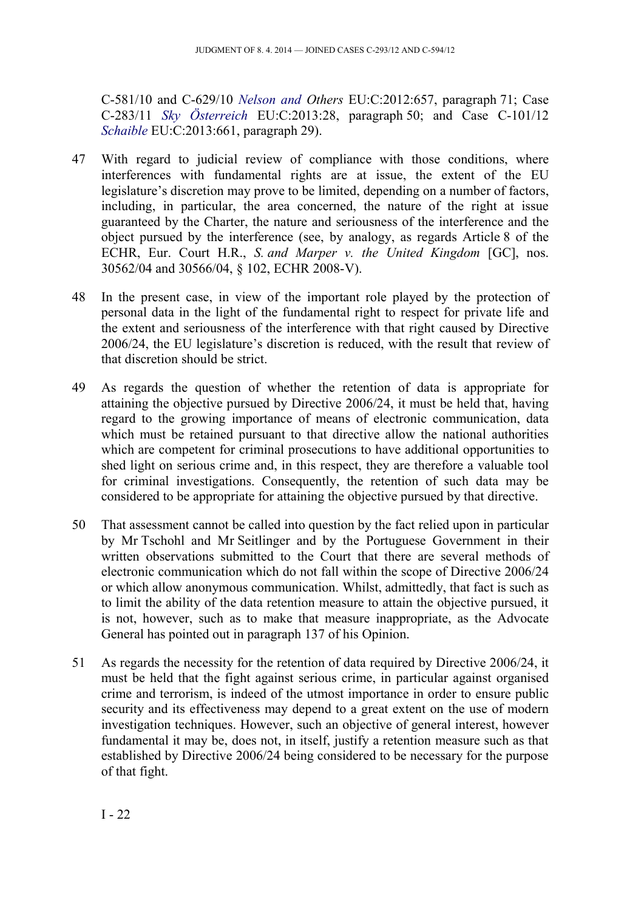C-581/10 and C-629/10 *Nelson and Others* EU:C:2012:657, paragraph 71; Case C-283/11 *Sky Österreich* EU:C:2013:28, paragraph 50; and Case C-101/12 *Schaible* EU:C:2013:661, paragraph 29).

- 47 With regard to judicial review of compliance with those conditions, where interferences with fundamental rights are at issue, the extent of the EU legislature's discretion may prove to be limited, depending on a number of factors, including, in particular, the area concerned, the nature of the right at issue guaranteed by the Charter, the nature and seriousness of the interference and the object pursued by the interference (see, by analogy, as regards Article 8 of the ECHR, Eur. Court H.R., *S. and Marper v. the United Kingdom* [GC], nos. 30562/04 and 30566/04, § 102, ECHR 2008-V).
- 48 In the present case, in view of the important role played by the protection of personal data in the light of the fundamental right to respect for private life and the extent and seriousness of the interference with that right caused by Directive 2006/24, the EU legislature's discretion is reduced, with the result that review of that discretion should be strict.
- 49 As regards the question of whether the retention of data is appropriate for attaining the objective pursued by Directive 2006/24, it must be held that, having regard to the growing importance of means of electronic communication, data which must be retained pursuant to that directive allow the national authorities which are competent for criminal prosecutions to have additional opportunities to shed light on serious crime and, in this respect, they are therefore a valuable tool for criminal investigations. Consequently, the retention of such data may be considered to be appropriate for attaining the objective pursued by that directive.
- 50 That assessment cannot be called into question by the fact relied upon in particular by Mr Tschohl and Mr Seitlinger and by the Portuguese Government in their written observations submitted to the Court that there are several methods of electronic communication which do not fall within the scope of Directive 2006/24 or which allow anonymous communication. Whilst, admittedly, that fact is such as to limit the ability of the data retention measure to attain the objective pursued, it is not, however, such as to make that measure inappropriate, as the Advocate General has pointed out in paragraph 137 of his Opinion.
- 51 As regards the necessity for the retention of data required by Directive 2006/24, it must be held that the fight against serious crime, in particular against organised crime and terrorism, is indeed of the utmost importance in order to ensure public security and its effectiveness may depend to a great extent on the use of modern investigation techniques. However, such an objective of general interest, however fundamental it may be, does not, in itself, justify a retention measure such as that established by Directive 2006/24 being considered to be necessary for the purpose of that fight.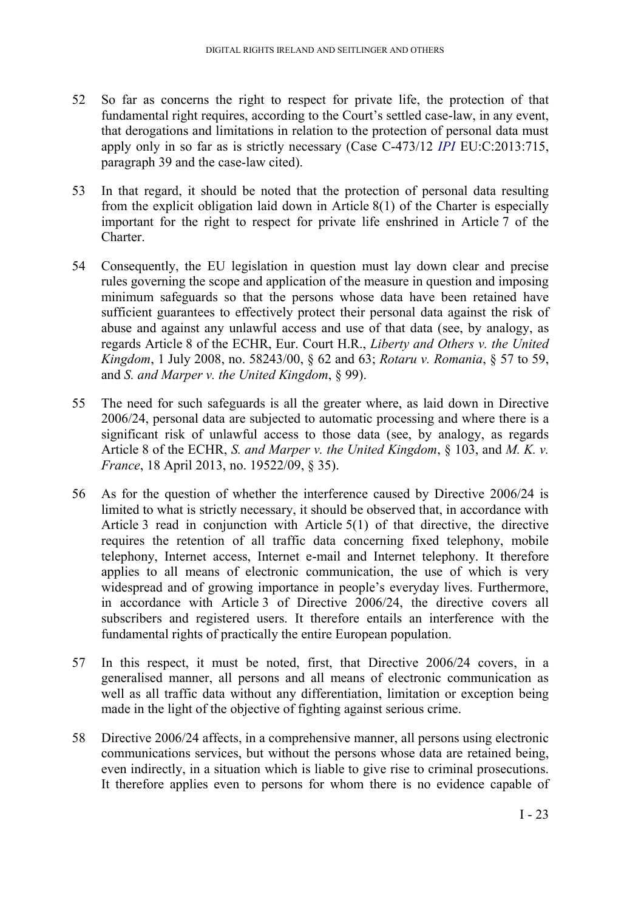- 52 So far as concerns the right to respect for private life, the protection of that fundamental right requires, according to the Court's settled case-law, in any event, that derogations and limitations in relation to the protection of personal data must apply only in so far as is strictly necessary (Case C-473/12 *IPI* EU:C:2013:715, paragraph 39 and the case-law cited).
- 53 In that regard, it should be noted that the protection of personal data resulting from the explicit obligation laid down in Article 8(1) of the Charter is especially important for the right to respect for private life enshrined in Article 7 of the **Charter**
- 54 Consequently, the EU legislation in question must lay down clear and precise rules governing the scope and application of the measure in question and imposing minimum safeguards so that the persons whose data have been retained have sufficient guarantees to effectively protect their personal data against the risk of abuse and against any unlawful access and use of that data (see, by analogy, as regards Article 8 of the ECHR, Eur. Court H.R., *Liberty and Others v. the United Kingdom*, 1 July 2008, no. 58243/00, § 62 and 63; *Rotaru v. Romania*, § 57 to 59, and *S. and Marper v. the United Kingdom*, § 99).
- 55 The need for such safeguards is all the greater where, as laid down in Directive 2006/24, personal data are subjected to automatic processing and where there is a significant risk of unlawful access to those data (see, by analogy, as regards Article 8 of the ECHR, *S. and Marper v. the United Kingdom*, § 103, and *M. K. v. France*, 18 April 2013, no. 19522/09, § 35).
- 56 As for the question of whether the interference caused by Directive 2006/24 is limited to what is strictly necessary, it should be observed that, in accordance with Article 3 read in conjunction with Article 5(1) of that directive, the directive requires the retention of all traffic data concerning fixed telephony, mobile telephony, Internet access, Internet e-mail and Internet telephony. It therefore applies to all means of electronic communication, the use of which is very widespread and of growing importance in people's everyday lives. Furthermore, in accordance with Article 3 of Directive 2006/24, the directive covers all subscribers and registered users. It therefore entails an interference with the fundamental rights of practically the entire European population.
- 57 In this respect, it must be noted, first, that Directive 2006/24 covers, in a generalised manner, all persons and all means of electronic communication as well as all traffic data without any differentiation, limitation or exception being made in the light of the objective of fighting against serious crime.
- 58 Directive 2006/24 affects, in a comprehensive manner, all persons using electronic communications services, but without the persons whose data are retained being, even indirectly, in a situation which is liable to give rise to criminal prosecutions. It therefore applies even to persons for whom there is no evidence capable of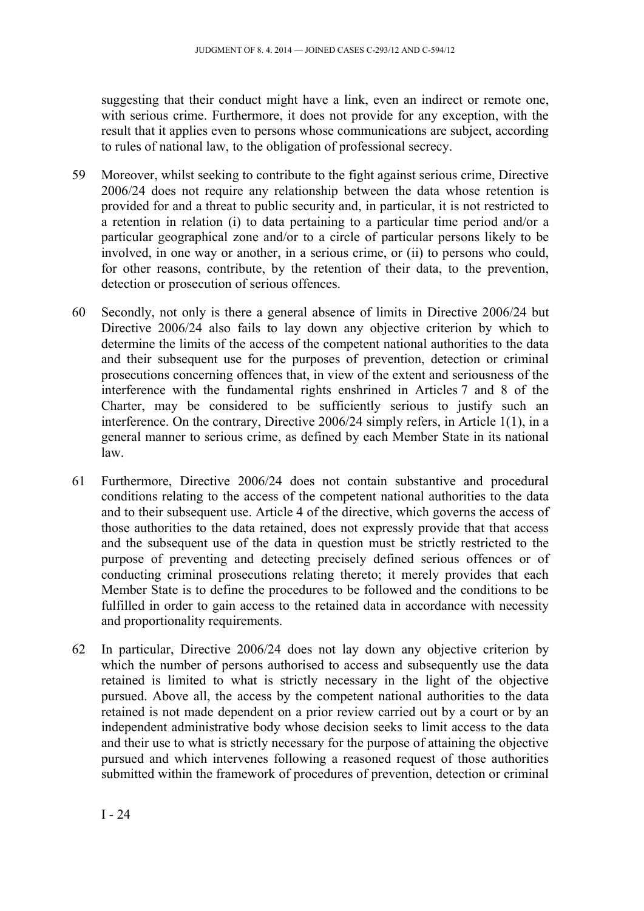suggesting that their conduct might have a link, even an indirect or remote one, with serious crime. Furthermore, it does not provide for any exception, with the result that it applies even to persons whose communications are subject, according to rules of national law, to the obligation of professional secrecy.

- 59 Moreover, whilst seeking to contribute to the fight against serious crime, Directive 2006/24 does not require any relationship between the data whose retention is provided for and a threat to public security and, in particular, it is not restricted to a retention in relation (i) to data pertaining to a particular time period and/or a particular geographical zone and/or to a circle of particular persons likely to be involved, in one way or another, in a serious crime, or (ii) to persons who could, for other reasons, contribute, by the retention of their data, to the prevention, detection or prosecution of serious offences.
- 60 Secondly, not only is there a general absence of limits in Directive 2006/24 but Directive 2006/24 also fails to lay down any objective criterion by which to determine the limits of the access of the competent national authorities to the data and their subsequent use for the purposes of prevention, detection or criminal prosecutions concerning offences that, in view of the extent and seriousness of the interference with the fundamental rights enshrined in Articles 7 and 8 of the Charter, may be considered to be sufficiently serious to justify such an interference. On the contrary, Directive 2006/24 simply refers, in Article 1(1), in a general manner to serious crime, as defined by each Member State in its national law.
- 61 Furthermore, Directive 2006/24 does not contain substantive and procedural conditions relating to the access of the competent national authorities to the data and to their subsequent use. Article 4 of the directive, which governs the access of those authorities to the data retained, does not expressly provide that that access and the subsequent use of the data in question must be strictly restricted to the purpose of preventing and detecting precisely defined serious offences or of conducting criminal prosecutions relating thereto; it merely provides that each Member State is to define the procedures to be followed and the conditions to be fulfilled in order to gain access to the retained data in accordance with necessity and proportionality requirements.
- 62 In particular, Directive 2006/24 does not lay down any objective criterion by which the number of persons authorised to access and subsequently use the data retained is limited to what is strictly necessary in the light of the objective pursued. Above all, the access by the competent national authorities to the data retained is not made dependent on a prior review carried out by a court or by an independent administrative body whose decision seeks to limit access to the data and their use to what is strictly necessary for the purpose of attaining the objective pursued and which intervenes following a reasoned request of those authorities submitted within the framework of procedures of prevention, detection or criminal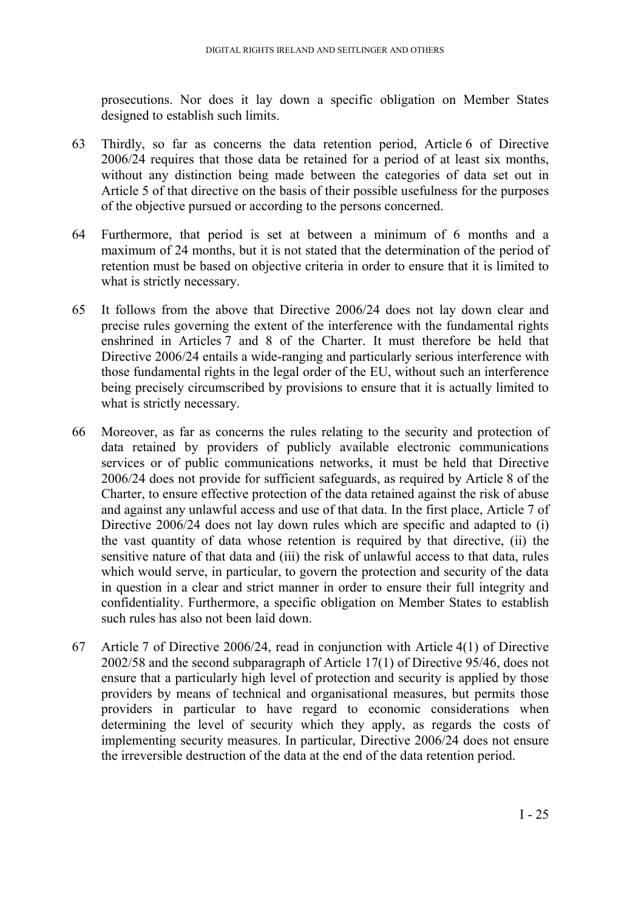prosecutions. Nor does it lay down a specific obligation on Member States designed to establish such limits.

- 63 Thirdly, so far as concerns the data retention period, Article 6 of Directive 2006/24 requires that those data be retained for a period of at least six months, without any distinction being made between the categories of data set out in Article 5 of that directive on the basis of their possible usefulness for the purposes of the objective pursued or according to the persons concerned.
- 64 Furthermore, that period is set at between a minimum of 6 months and a maximum of 24 months, but it is not stated that the determination of the period of retention must be based on objective criteria in order to ensure that it is limited to what is strictly necessary.
- 65 It follows from the above that Directive 2006/24 does not lay down clear and precise rules governing the extent of the interference with the fundamental rights enshrined in Articles 7 and 8 of the Charter. It must therefore be held that Directive 2006/24 entails a wide-ranging and particularly serious interference with those fundamental rights in the legal order of the EU, without such an interference being precisely circumscribed by provisions to ensure that it is actually limited to what is strictly necessary.
- 66 Moreover, as far as concerns the rules relating to the security and protection of data retained by providers of publicly available electronic communications services or of public communications networks, it must be held that Directive 2006/24 does not provide for sufficient safeguards, as required by Article 8 of the Charter, to ensure effective protection of the data retained against the risk of abuse and against any unlawful access and use of that data. In the first place, Article 7 of Directive 2006/24 does not lay down rules which are specific and adapted to (i) the vast quantity of data whose retention is required by that directive, (ii) the sensitive nature of that data and (iii) the risk of unlawful access to that data, rules which would serve, in particular, to govern the protection and security of the data in question in a clear and strict manner in order to ensure their full integrity and confidentiality. Furthermore, a specific obligation on Member States to establish such rules has also not been laid down.
- 67 Article 7 of Directive 2006/24, read in conjunction with Article 4(1) of Directive 2002/58 and the second subparagraph of Article 17(1) of Directive 95/46, does not ensure that a particularly high level of protection and security is applied by those providers by means of technical and organisational measures, but permits those providers in particular to have regard to economic considerations when determining the level of security which they apply, as regards the costs of implementing security measures. In particular, Directive 2006/24 does not ensure the irreversible destruction of the data at the end of the data retention period.